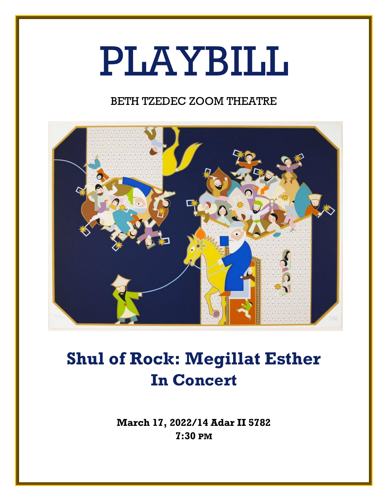# PLAYBILL

### BETH TZEDEC ZOOM THEATRE



## **Shul of Rock: Megillat Esther In Concert**

**March 17, 2022/14 Adar II 5782 7:30 PM**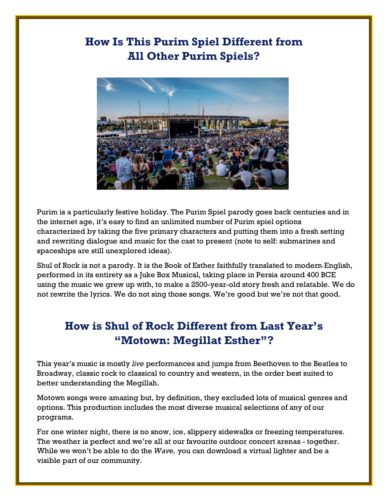### **How Is This Purim Spiel Different from All Other Purim Spiels?**



Purim is a particularly festive holiday. The Purim Spiel parody goes back centuries and in the internet age, it's easy to find an unlimited number of Purim spiel options characterized by taking the five primary characters and putting them into a fresh setting and rewriting dialogue and music for the cast to present (note to self: submarines and spaceships are still unexplored ideas).

Shul of Rock is not a parody. It is the Book of Esther faithfully translated to modern English, performed in its entirety as a Juke Box Musical, taking place in Persia around 400 BCE using the music we grew up with, to make a 2500-year-old story fresh and relatable. We do not rewrite the lyrics. We do not sing those songs. We're good but we're not that good.

#### **How is Shul of Rock Different from Last Year's "Motown: Megillat Esther"?**

This year's music is mostly *live* performances and jumps from Beethoven to the Beatles to Broadway, classic rock to classical to country and western, in the order best suited to better understanding the Megillah.

Motown songs were amazing but, by definition, they excluded lots of musical genres and options. This production includes the most diverse musical selections of any of our programs.

For one winter night, there is no snow, ice, slippery sidewalks or freezing temperatures. The weather is perfect and we're all at our favourite outdoor concert arenas - together. While we won't be able to do the *Wave,* you can download a virtual lighter and be a visible part of our community.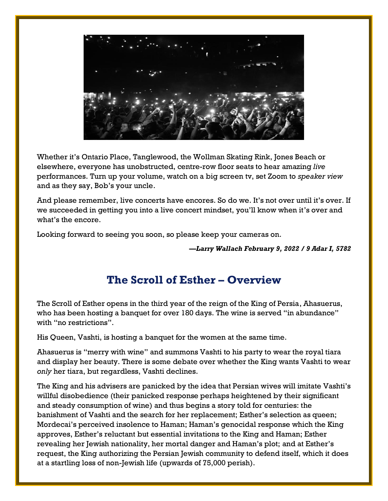

Whether it's Ontario Place, Tanglewood, the Wollman Skating Rink, Jones Beach or elsewhere, everyone has unobstructed, centre-row floor seats to hear amazing *live*  performances. Turn up your volume, watch on a big screen tv, set Zoom to *speaker view* and as they say, Bob's your uncle.

And please remember, live concerts have encores. So do we. It's not over until it's over. If we succeeded in getting you into a live concert mindset, you'll know when it's over and what's the encore.

Looking forward to seeing you soon, so please keep your cameras on.

*—Larry Wallach February 9, 2022 / 9 Adar I, 5782*

#### **The Scroll of Esther – Overview**

The Scroll of Esther opens in the third year of the reign of the King of Persia, Ahasuerus, who has been hosting a banquet for over 180 days. The wine is served "in abundance" with "no restrictions".

His Queen, Vashti, is hosting a banquet for the women at the same time.

Ahasuerus is "merry with wine" and summons Vashti to his party to wear the royal tiara and display her beauty. There is some debate over whether the King wants Vashti to wear *only* her tiara, but regardless, Vashti declines.

The King and his advisers are panicked by the idea that Persian wives will imitate Vashti's willful disobedience (their panicked response perhaps heightened by their significant and steady consumption of wine) and thus begins a story told for centuries: the banishment of Vashti and the search for her replacement; Esther's selection as queen; Mordecai's perceived insolence to Haman; Haman's genocidal response which the King approves, Esther's reluctant but essential invitations to the King and Haman; Esther revealing her Jewish nationality, her mortal danger and Haman's plot; and at Esther's request, the King authorizing the Persian Jewish community to defend itself, which it does at a startling loss of non-Jewish life (upwards of 75,000 perish).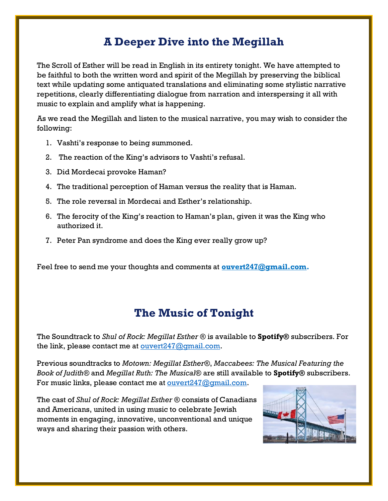#### **A Deeper Dive into the Megillah**

The Scroll of Esther will be read in English in its entirety tonight. We have attempted to be faithful to both the written word and spirit of the Megillah by preserving the biblical text while updating some antiquated translations and eliminating some stylistic narrative repetitions, clearly differentiating dialogue from narration and interspersing it all with music to explain and amplify what is happening.

As we read the Megillah and listen to the musical narrative, you may wish to consider the following:

- 1. Vashti's response to being summoned.
- 2. The reaction of the King's advisors to Vashti's refusal.
- 3. Did Mordecai provoke Haman?
- 4. The traditional perception of Haman versus the reality that is Haman.
- 5. The role reversal in Mordecai and Esther's relationship.
- 6. The ferocity of the King's reaction to Haman's plan, given it was the King who authorized it.
- 7. Peter Pan syndrome and does the King ever really grow up?

Feel free to send me your thoughts and comments at **[ouvert247@gmail.com.](mailto:ouvert247@gmail.com)**

#### **The Music of Tonight**

The Soundtrack to *Shul of Rock: Megillat Esther ®* is available to **Spotify®** subscribers. For the link, please contact me at  $over 247$ @gmail.com.

Previous soundtracks to *Motown: Megillat Esther®*, *Maccabees: The Musical Featuring the Book of Judith®* and *Megillat Ruth: The Musical®* are still available to **Spotify®** subscribers. For music links, please contact me at <u>ouvert247@qmail.com</u>.

The cast of *Shul of Rock: Megillat Esther ®* consists of Canadians and Americans, united in using music to celebrate Jewish moments in engaging, innovative, unconventional and unique ways and sharing their passion with others.